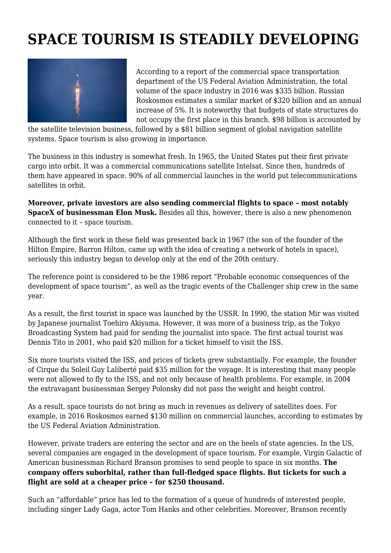## **SPACE TOURISM IS STEADILY DEVELOPING**



According to a report of the commercial space transportation department of the US Federal Aviation Administration, the total volume of the space industry in 2016 was \$335 billion. Russian Roskosmos estimates a similar market of \$320 billion and an annual increase of 5%. It is noteworthy that budgets of state structures do not occupy the first place in this branch. \$98 billion is accounted by

the satellite television business, followed by a \$81 billion segment of global navigation satellite systems. Space tourism is also growing in importance.

The business in this industry is somewhat fresh. In 1965, the United States put their first private cargo into orbit. It was a commercial communications satellite Intelsat. Since then, hundreds of them have appeared in space. 90% of all commercial launches in the world put telecommunications satellites in orbit.

**Moreover, private investors are also sending commercial flights to space – most notably SpaceX of businessman Elon Musk.** Besides all this, however, there is also a new phenomenon connected to it – space tourism.

Although the first work in these field was presented back in 1967 (the son of the founder of the Hilton Empire, Barron Hilton, came up with the idea of creating a network of hotels in space), seriously this industry began to develop only at the end of the 20th century.

The reference point is considered to be the 1986 report "Probable economic consequences of the development of space tourism", as well as the tragic events of the Challenger ship crew in the same year.

As a result, the first tourist in space was launched by the USSR. In 1990, the station Mir was visited by Japanese journalist Toehiro Akiyama. However, it was more of a business trip, as the Tokyo Broadcasting System had paid for sending the journalist into space. The first actual tourist was Dennis Tito in 2001, who paid \$20 million for a ticket himself to visit the ISS.

Six more tourists visited the ISS, and prices of tickets grew substantially. For example, the founder of Cirque du Soleil Guy Laliberté paid \$35 million for the voyage. It is interesting that many people were not allowed to fly to the ISS, and not only because of health problems. For example, in 2004 the extravagant businessman Sergey Polonsky did not pass the weight and height control.

As a result, space tourists do not bring as much in revenues as delivery of satellites does. For example, in 2016 Roskosmos earned \$130 million on commercial launches, according to estimates by the US Federal Aviation Administration.

However, private traders are entering the sector and are on the heels of state agencies. In the US, several companies are engaged in the development of space tourism. For example, Virgin Galactic of American businessman Richard Branson promises to send people to space in six months. **The company offers suborbital, rather than full-fledged space flights. But tickets for such a flight are sold at a cheaper price – for \$250 thousand.**

Such an "affordable" price has led to the formation of a queue of hundreds of interested people, including singer Lady Gaga, actor Tom Hanks and other celebrities. Moreover, Branson recently